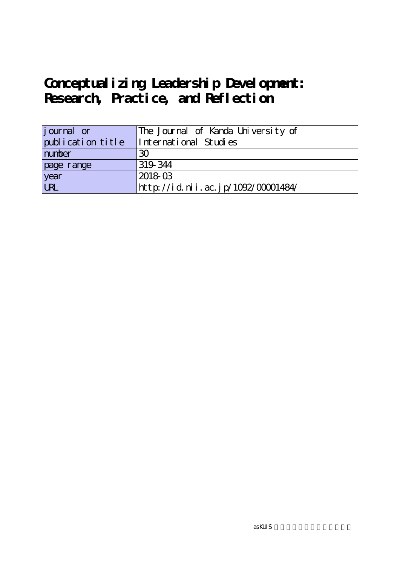| <i>j</i> ournal or | The Journal of Kanda University of |
|--------------------|------------------------------------|
| publication title  | International Studies              |
| number             | 30                                 |
| page range         | 319 344                            |
| year               | 2018-03                            |
| URL                | http://id.nii.ac.jp/1092/00001484/ |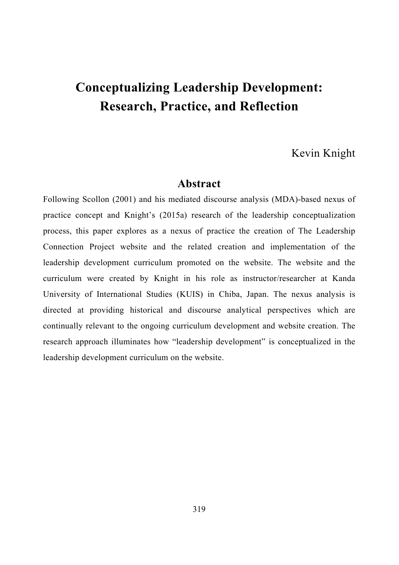## Kevin Knight

### **Abstract**

Following Scollon (2001) and his mediated discourse analysis (MDA)-based nexus of practice concept and Knight's (2015a) research of the leadership conceptualization process, this paper explores as a nexus of practice the creation of The Leadership Connection Project website and the related creation and implementation of the leadership development curriculum promoted on the website. The website and the curriculum were created by Knight in his role as instructor/researcher at Kanda University of International Studies (KUIS) in Chiba, Japan. The nexus analysis is directed at providing historical and discourse analytical perspectives which are continually relevant to the ongoing curriculum development and website creation. The research approach illuminates how "leadership development" is conceptualized in the leadership development curriculum on the website.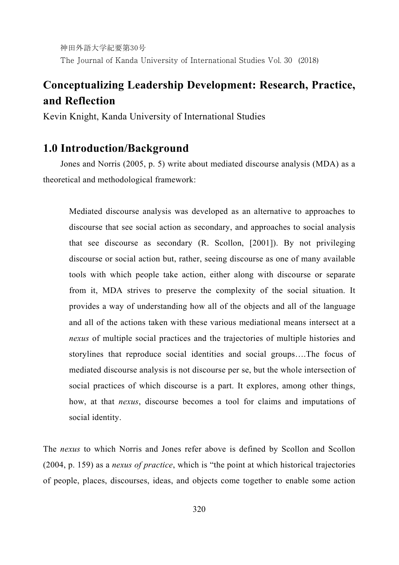神田外語大学紀要第30号 The Journal of Kanda University of International Studies Vol. 30 (2018)

## **Conceptualizing Leadership Development: Research, Practice, and Reflection**

Kevin Knight, Kanda University of International Studies

## **1.0 Introduction/Background**

Jones and Norris (2005, p. 5) write about mediated discourse analysis (MDA) as a theoretical and methodological framework:

Mediated discourse analysis was developed as an alternative to approaches to discourse that see social action as secondary, and approaches to social analysis that see discourse as secondary (R. Scollon, [2001]). By not privileging discourse or social action but, rather, seeing discourse as one of many available tools with which people take action, either along with discourse or separate from it, MDA strives to preserve the complexity of the social situation. It provides a way of understanding how all of the objects and all of the language and all of the actions taken with these various mediational means intersect at a *nexus* of multiple social practices and the trajectories of multiple histories and storylines that reproduce social identities and social groups….The focus of mediated discourse analysis is not discourse per se, but the whole intersection of social practices of which discourse is a part. It explores, among other things, how, at that *nexus*, discourse becomes a tool for claims and imputations of social identity.

The *nexus* to which Norris and Jones refer above is defined by Scollon and Scollon (2004, p. 159) as a *nexus of practice*, which is "the point at which historical trajectories of people, places, discourses, ideas, and objects come together to enable some action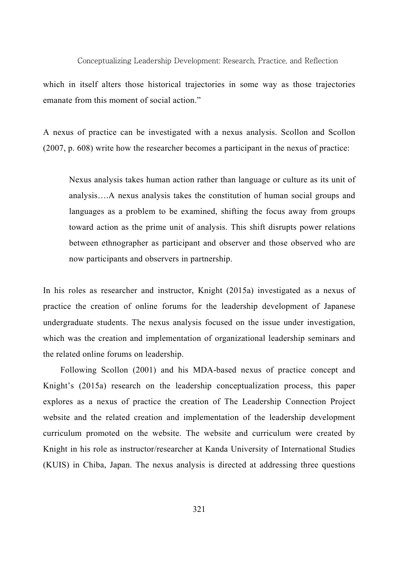which in itself alters those historical trajectories in some way as those trajectories emanate from this moment of social action."

A nexus of practice can be investigated with a nexus analysis. Scollon and Scollon (2007, p. 608) write how the researcher becomes a participant in the nexus of practice:

Nexus analysis takes human action rather than language or culture as its unit of analysis….A nexus analysis takes the constitution of human social groups and languages as a problem to be examined, shifting the focus away from groups toward action as the prime unit of analysis. This shift disrupts power relations between ethnographer as participant and observer and those observed who are now participants and observers in partnership.

In his roles as researcher and instructor, Knight (2015a) investigated as a nexus of practice the creation of online forums for the leadership development of Japanese undergraduate students. The nexus analysis focused on the issue under investigation, which was the creation and implementation of organizational leadership seminars and the related online forums on leadership.

Following Scollon (2001) and his MDA-based nexus of practice concept and Knight's (2015a) research on the leadership conceptualization process, this paper explores as a nexus of practice the creation of The Leadership Connection Project website and the related creation and implementation of the leadership development curriculum promoted on the website. The website and curriculum were created by Knight in his role as instructor/researcher at Kanda University of International Studies (KUIS) in Chiba, Japan. The nexus analysis is directed at addressing three questions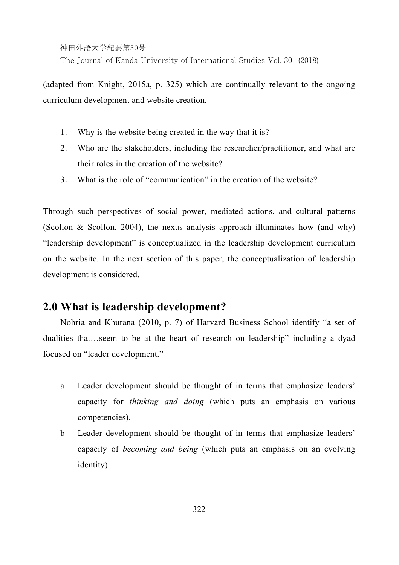The Journal of Kanda University of International Studies Vol. 30 (2018)

(adapted from Knight, 2015a, p. 325) which are continually relevant to the ongoing curriculum development and website creation.

- 1. Why is the website being created in the way that it is?
- 2. Who are the stakeholders, including the researcher/practitioner, and what are their roles in the creation of the website?
- 3. What is the role of "communication" in the creation of the website?

Through such perspectives of social power, mediated actions, and cultural patterns (Scollon & Scollon, 2004), the nexus analysis approach illuminates how (and why) "leadership development" is conceptualized in the leadership development curriculum on the website. In the next section of this paper, the conceptualization of leadership development is considered.

## **2.0 What is leadership development?**

Nohria and Khurana (2010, p. 7) of Harvard Business School identify "a set of dualities that…seem to be at the heart of research on leadership" including a dyad focused on "leader development."

- a Leader development should be thought of in terms that emphasize leaders' capacity for *thinking and doing* (which puts an emphasis on various competencies).
- b Leader development should be thought of in terms that emphasize leaders' capacity of *becoming and being* (which puts an emphasis on an evolving identity).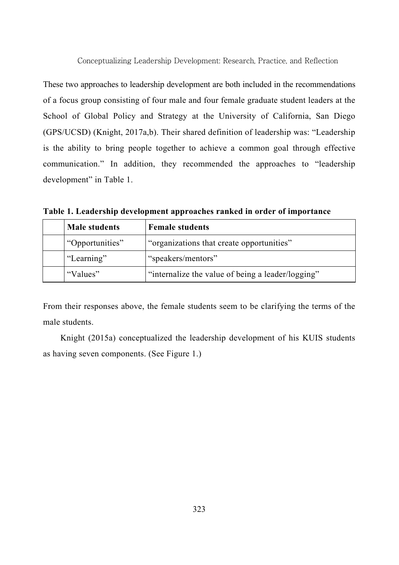These two approaches to leadership development are both included in the recommendations of a focus group consisting of four male and four female graduate student leaders at the School of Global Policy and Strategy at the University of California, San Diego (GPS/UCSD) (Knight, 2017a,b). Their shared definition of leadership was: "Leadership is the ability to bring people together to achieve a common goal through effective communication." In addition, they recommended the approaches to "leadership development" in Table 1.

**Table 1. Leadership development approaches ranked in order of importance**

|                 | <b>Male students</b>                                          | <b>Female students</b>                    |  |
|-----------------|---------------------------------------------------------------|-------------------------------------------|--|
| "Opportunities" |                                                               | "organizations that create opportunities" |  |
|                 | "Learning"                                                    | "speakers/mentors"                        |  |
|                 | "internalize the value of being a leader/logging"<br>"Values" |                                           |  |

From their responses above, the female students seem to be clarifying the terms of the male students.

Knight (2015a) conceptualized the leadership development of his KUIS students as having seven components. (See Figure 1.)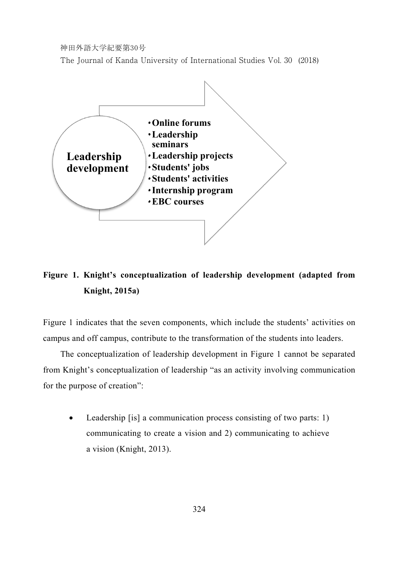The Journal of Kanda University of International Studies Vol. 30 (2018)



## **Figure 1. Knight's conceptualization of leadership development (adapted from Knight, 2015a)**

Figure 1 indicates that the seven components, which include the students' activities on campus and off campus, contribute to the transformation of the students into leaders.

The conceptualization of leadership development in Figure 1 cannot be separated from Knight's conceptualization of leadership "as an activity involving communication for the purpose of creation":

 Leadership [is] a communication process consisting of two parts: 1) communicating to create a vision and 2) communicating to achieve a vision (Knight, 2013).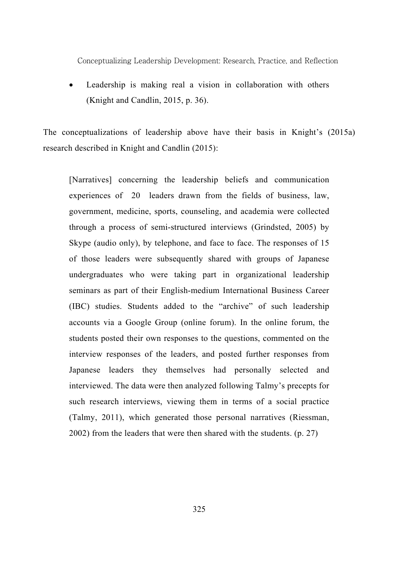Leadership is making real a vision in collaboration with others (Knight and Candlin, 2015, p. 36).

The conceptualizations of leadership above have their basis in Knight's (2015a) research described in Knight and Candlin (2015):

[Narratives] concerning the leadership beliefs and communication experiences of 20 leaders drawn from the fields of business, law, government, medicine, sports, counseling, and academia were collected through a process of semi-structured interviews (Grindsted, 2005) by Skype (audio only), by telephone, and face to face. The responses of 15 of those leaders were subsequently shared with groups of Japanese undergraduates who were taking part in organizational leadership seminars as part of their English-medium International Business Career (IBC) studies. Students added to the "archive" of such leadership accounts via a Google Group (online forum). In the online forum, the students posted their own responses to the questions, commented on the interview responses of the leaders, and posted further responses from Japanese leaders they themselves had personally selected and interviewed. The data were then analyzed following Talmy's precepts for such research interviews, viewing them in terms of a social practice (Talmy, 2011), which generated those personal narratives (Riessman, 2002) from the leaders that were then shared with the students. (p. 27)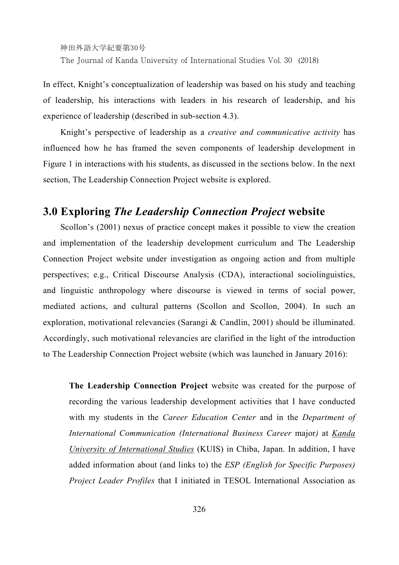神田外語大学紀要第30号 The Journal of Kanda University of International Studies Vol. 30 (2018)

In effect, Knight's conceptualization of leadership was based on his study and teaching of leadership, his interactions with leaders in his research of leadership, and his experience of leadership (described in sub-section 4.3).

Knight's perspective of leadership as a *creative and communicative activity* has influenced how he has framed the seven components of leadership development in Figure 1 in interactions with his students, as discussed in the sections below. In the next section, The Leadership Connection Project website is explored.

## **3.0 Exploring** *The Leadership Connection Project* **website**

Scollon's (2001) nexus of practice concept makes it possible to view the creation and implementation of the leadership development curriculum and The Leadership Connection Project website under investigation as ongoing action and from multiple perspectives; e.g., Critical Discourse Analysis (CDA), interactional sociolinguistics, and linguistic anthropology where discourse is viewed in terms of social power, mediated actions, and cultural patterns (Scollon and Scollon, 2004). In such an exploration, motivational relevancies (Sarangi & Candlin, 2001) should be illuminated. Accordingly, such motivational relevancies are clarified in the light of the introduction to The Leadership Connection Project website (which was launched in January 2016):

**The Leadership Connection Project** website was created for the purpose of recording the various leadership development activities that I have conducted with my students in the *Career Education Center* and in the *Department of International Communication (International Business Career* major*)* at *Kanda University of International Studies* (KUIS) in Chiba, Japan. In addition, I have added information about (and links to) the *ESP (English for Specific Purposes) Project Leader Profiles* that I initiated in TESOL International Association as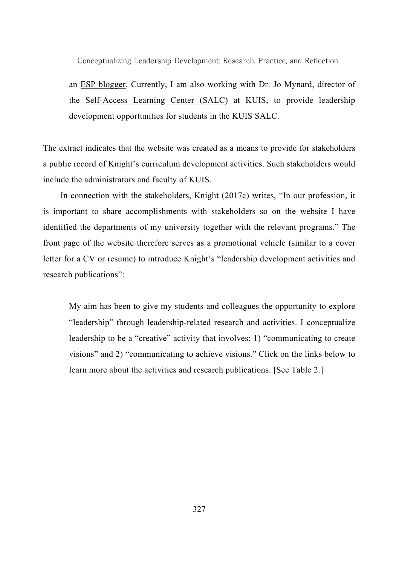an ESP blogger. Currently, I am also working with Dr. Jo Mynard, director of the Self-Access Learning Center (SALC) at KUIS, to provide leadership development opportunities for students in the KUIS SALC.

The extract indicates that the website was created as a means to provide for stakeholders a public record of Knight's curriculum development activities. Such stakeholders would include the administrators and faculty of KUIS.

In connection with the stakeholders, Knight (2017c) writes, "In our profession, it is important to share accomplishments with stakeholders so on the website I have identified the departments of my university together with the relevant programs." The front page of the website therefore serves as a promotional vehicle (similar to a cover letter for a CV or resume) to introduce Knight's "leadership development activities and research publications":

My aim has been to give my students and colleagues the opportunity to explore "leadership" through leadership-related research and activities. I conceptualize leadership to be a "creative" activity that involves: 1) "communicating to create visions" and 2) "communicating to achieve visions." Click on the links below to learn more about the activities and research publications. [See Table 2.]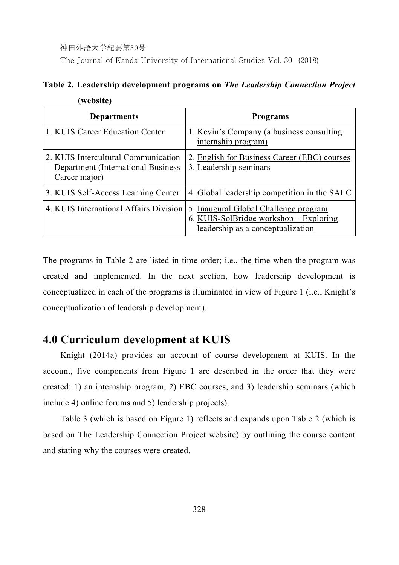**(website)** 

The Journal of Kanda University of International Studies Vol. 30 (2018)

## **Table 2. Leadership development programs on** *The Leadership Connection Project*

| <b>Departments</b>                                                                         | <b>Programs</b>                                                                                                      |
|--------------------------------------------------------------------------------------------|----------------------------------------------------------------------------------------------------------------------|
| 1. KUIS Career Education Center                                                            | 1. Kevin's Company (a business consulting)<br>internship program)                                                    |
| 2. KUIS Intercultural Communication<br>Department (International Business<br>Career major) | 2. English for Business Career (EBC) courses<br>3. Leadership seminars                                               |
| 3. KUIS Self-Access Learning Center                                                        | 4. Global leadership competition in the SALC                                                                         |
| 4. KUIS International Affairs Division                                                     | 5. Inaugural Global Challenge program<br>6. KUIS-SolBridge workshop – Exploring<br>leadership as a conceptualization |

The programs in Table 2 are listed in time order; i.e., the time when the program was created and implemented. In the next section, how leadership development is conceptualized in each of the programs is illuminated in view of Figure 1 (i.e., Knight's conceptualization of leadership development).

## **4.0 Curriculum development at KUIS**

Knight (2014a) provides an account of course development at KUIS. In the account, five components from Figure 1 are described in the order that they were created: 1) an internship program, 2) EBC courses, and 3) leadership seminars (which include 4) online forums and 5) leadership projects).

Table 3 (which is based on Figure 1) reflects and expands upon Table 2 (which is based on The Leadership Connection Project website) by outlining the course content and stating why the courses were created.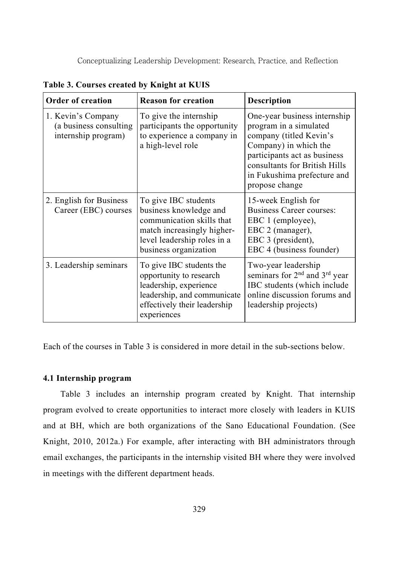| <b>Order of creation</b>                                            | <b>Reason for creation</b>                                                                                                                                        | <b>Description</b>                                                                                                                                                                                                           |
|---------------------------------------------------------------------|-------------------------------------------------------------------------------------------------------------------------------------------------------------------|------------------------------------------------------------------------------------------------------------------------------------------------------------------------------------------------------------------------------|
| 1. Kevin's Company<br>(a business consulting<br>internship program) | To give the internship<br>participants the opportunity<br>to experience a company in<br>a high-level role                                                         | One-year business internship<br>program in a simulated<br>company (titled Kevin's<br>Company) in which the<br>participants act as business<br>consultants for British Hills<br>in Fukushima prefecture and<br>propose change |
| 2. English for Business<br>Career (EBC) courses                     | To give IBC students<br>business knowledge and<br>communication skills that<br>match increasingly higher-<br>level leadership roles in a<br>business organization | 15-week English for<br>Business Career courses:<br>EBC 1 (employee),<br>EBC 2 (manager),<br>EBC 3 (president),<br>EBC 4 (business founder)                                                                                   |
| 3. Leadership seminars                                              | To give IBC students the<br>opportunity to research<br>leadership, experience<br>leadership, and communicate<br>effectively their leadership<br>experiences       | Two-year leadership<br>seminars for 2 <sup>nd</sup> and 3 <sup>rd</sup> year<br>IBC students (which include<br>online discussion forums and<br>leadership projects)                                                          |

**Table 3. Courses created by Knight at KUIS** 

Each of the courses in Table 3 is considered in more detail in the sub-sections below.

#### **4.1 Internship program**

Table 3 includes an internship program created by Knight. That internship program evolved to create opportunities to interact more closely with leaders in KUIS and at BH, which are both organizations of the Sano Educational Foundation. (See Knight, 2010, 2012a.) For example, after interacting with BH administrators through email exchanges, the participants in the internship visited BH where they were involved in meetings with the different department heads.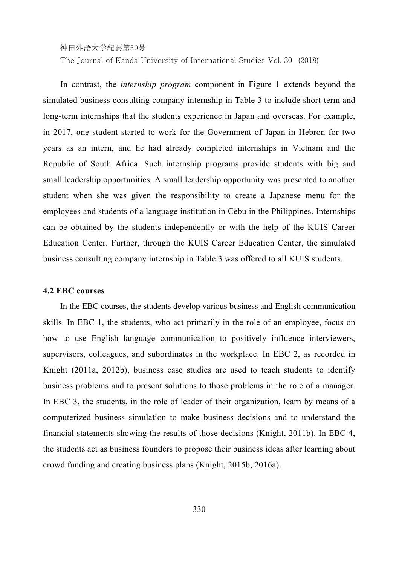The Journal of Kanda University of International Studies Vol. 30 (2018)

In contrast, the *internship program* component in Figure 1 extends beyond the simulated business consulting company internship in Table 3 to include short-term and long-term internships that the students experience in Japan and overseas. For example, in 2017, one student started to work for the Government of Japan in Hebron for two years as an intern, and he had already completed internships in Vietnam and the Republic of South Africa. Such internship programs provide students with big and small leadership opportunities. A small leadership opportunity was presented to another student when she was given the responsibility to create a Japanese menu for the employees and students of a language institution in Cebu in the Philippines. Internships can be obtained by the students independently or with the help of the KUIS Career Education Center. Further, through the KUIS Career Education Center, the simulated business consulting company internship in Table 3 was offered to all KUIS students.

#### **4.2 EBC courses**

In the EBC courses, the students develop various business and English communication skills. In EBC 1, the students, who act primarily in the role of an employee, focus on how to use English language communication to positively influence interviewers, supervisors, colleagues, and subordinates in the workplace. In EBC 2, as recorded in Knight (2011a, 2012b), business case studies are used to teach students to identify business problems and to present solutions to those problems in the role of a manager. In EBC 3, the students, in the role of leader of their organization, learn by means of a computerized business simulation to make business decisions and to understand the financial statements showing the results of those decisions (Knight, 2011b). In EBC 4, the students act as business founders to propose their business ideas after learning about crowd funding and creating business plans (Knight, 2015b, 2016a).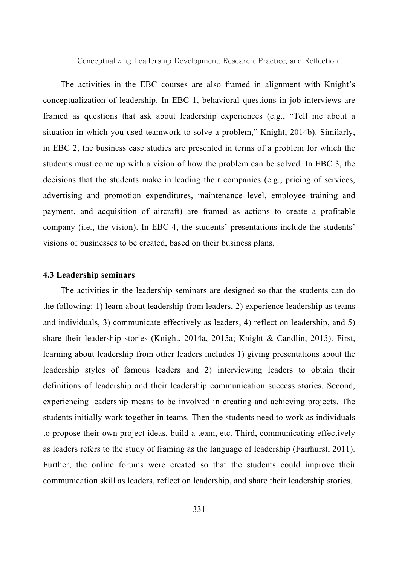The activities in the EBC courses are also framed in alignment with Knight's conceptualization of leadership. In EBC 1, behavioral questions in job interviews are framed as questions that ask about leadership experiences (e.g., "Tell me about a situation in which you used teamwork to solve a problem," Knight, 2014b). Similarly, in EBC 2, the business case studies are presented in terms of a problem for which the students must come up with a vision of how the problem can be solved. In EBC 3, the decisions that the students make in leading their companies (e.g., pricing of services, advertising and promotion expenditures, maintenance level, employee training and payment, and acquisition of aircraft) are framed as actions to create a profitable company (i.e., the vision). In EBC 4, the students' presentations include the students' visions of businesses to be created, based on their business plans.

#### **4.3 Leadership seminars**

The activities in the leadership seminars are designed so that the students can do the following: 1) learn about leadership from leaders, 2) experience leadership as teams and individuals, 3) communicate effectively as leaders, 4) reflect on leadership, and 5) share their leadership stories (Knight, 2014a, 2015a; Knight & Candlin, 2015). First, learning about leadership from other leaders includes 1) giving presentations about the leadership styles of famous leaders and 2) interviewing leaders to obtain their definitions of leadership and their leadership communication success stories. Second, experiencing leadership means to be involved in creating and achieving projects. The students initially work together in teams. Then the students need to work as individuals to propose their own project ideas, build a team, etc. Third, communicating effectively as leaders refers to the study of framing as the language of leadership (Fairhurst, 2011). Further, the online forums were created so that the students could improve their communication skill as leaders, reflect on leadership, and share their leadership stories.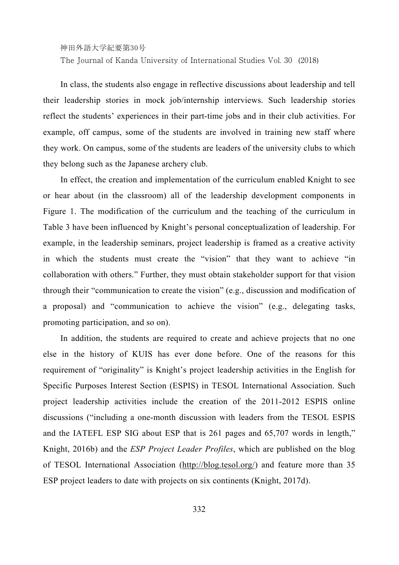The Journal of Kanda University of International Studies Vol. 30 (2018)

In class, the students also engage in reflective discussions about leadership and tell their leadership stories in mock job/internship interviews. Such leadership stories reflect the students' experiences in their part-time jobs and in their club activities. For example, off campus, some of the students are involved in training new staff where they work. On campus, some of the students are leaders of the university clubs to which they belong such as the Japanese archery club.

In effect, the creation and implementation of the curriculum enabled Knight to see or hear about (in the classroom) all of the leadership development components in Figure 1. The modification of the curriculum and the teaching of the curriculum in Table 3 have been influenced by Knight's personal conceptualization of leadership. For example, in the leadership seminars, project leadership is framed as a creative activity in which the students must create the "vision" that they want to achieve "in collaboration with others." Further, they must obtain stakeholder support for that vision through their "communication to create the vision" (e.g., discussion and modification of a proposal) and "communication to achieve the vision" (e.g., delegating tasks, promoting participation, and so on).

In addition, the students are required to create and achieve projects that no one else in the history of KUIS has ever done before. One of the reasons for this requirement of "originality" is Knight's project leadership activities in the English for Specific Purposes Interest Section (ESPIS) in TESOL International Association. Such project leadership activities include the creation of the 2011-2012 ESPIS online discussions ("including a one-month discussion with leaders from the TESOL ESPIS and the IATEFL ESP SIG about ESP that is 261 pages and 65,707 words in length," Knight, 2016b) and the *ESP Project Leader Profiles*, which are published on the blog of TESOL International Association (http://blog.tesol.org/) and feature more than 35 ESP project leaders to date with projects on six continents (Knight, 2017d).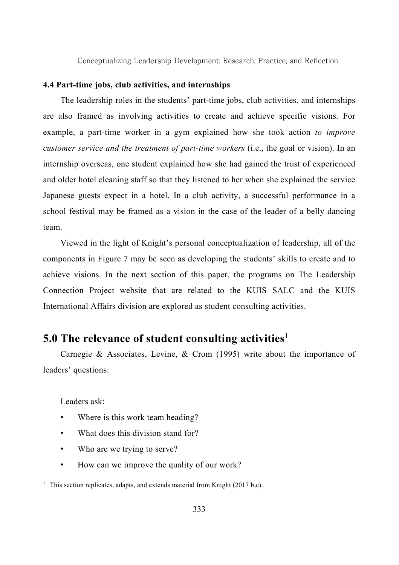#### **4.4 Part-time jobs, club activities, and internships**

The leadership roles in the students' part-time jobs, club activities, and internships are also framed as involving activities to create and achieve specific visions. For example, a part-time worker in a gym explained how she took action *to improve customer service and the treatment of part-time workers* (i.e., the goal or vision). In an internship overseas, one student explained how she had gained the trust of experienced and older hotel cleaning staff so that they listened to her when she explained the service Japanese guests expect in a hotel. In a club activity, a successful performance in a school festival may be framed as a vision in the case of the leader of a belly dancing team.

Viewed in the light of Knight's personal conceptualization of leadership, all of the components in Figure 7 may be seen as developing the students' skills to create and to achieve visions. In the next section of this paper, the programs on The Leadership Connection Project website that are related to the KUIS SALC and the KUIS International Affairs division are explored as student consulting activities.

## **5.0 The relevance of student consulting activities1**

Carnegie & Associates, Levine, & Crom (1995) write about the importance of leaders' questions:

Leaders ask:

1

- Where is this work team heading?
- What does this division stand for?
- Who are we trying to serve?
- How can we improve the quality of our work?

<sup>&</sup>lt;sup>1</sup> This section replicates, adapts, and extends material from Knight (2017 b,c).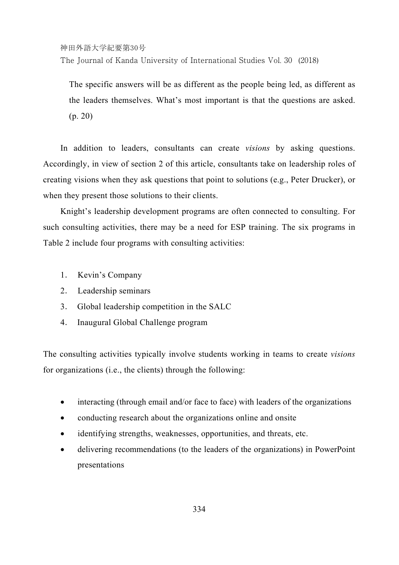The Journal of Kanda University of International Studies Vol. 30 (2018)

The specific answers will be as different as the people being led, as different as the leaders themselves. What's most important is that the questions are asked. (p. 20)

In addition to leaders, consultants can create *visions* by asking questions. Accordingly, in view of section 2 of this article, consultants take on leadership roles of creating visions when they ask questions that point to solutions (e.g., Peter Drucker), or when they present those solutions to their clients.

Knight's leadership development programs are often connected to consulting. For such consulting activities, there may be a need for ESP training. The six programs in Table 2 include four programs with consulting activities:

- 1. Kevin's Company
- 2. Leadership seminars
- 3. Global leadership competition in the SALC
- 4. Inaugural Global Challenge program

The consulting activities typically involve students working in teams to create *visions* for organizations (i.e., the clients) through the following:

- interacting (through email and/or face to face) with leaders of the organizations
- conducting research about the organizations online and onsite
- identifying strengths, weaknesses, opportunities, and threats, etc.
- delivering recommendations (to the leaders of the organizations) in PowerPoint presentations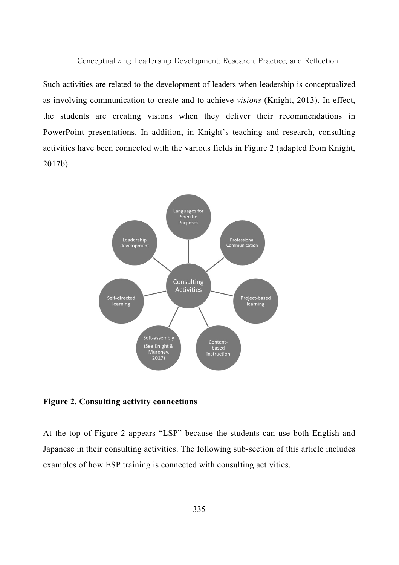Such activities are related to the development of leaders when leadership is conceptualized as involving communication to create and to achieve *visions* (Knight, 2013). In effect, the students are creating visions when they deliver their recommendations in PowerPoint presentations. In addition, in Knight's teaching and research, consulting activities have been connected with the various fields in Figure 2 (adapted from Knight, 2017b).



**Figure 2. Consulting activity connections** 

At the top of Figure 2 appears "LSP" because the students can use both English and Japanese in their consulting activities. The following sub-section of this article includes examples of how ESP training is connected with consulting activities.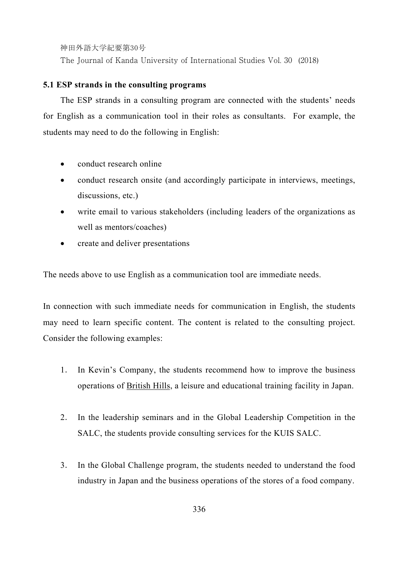The Journal of Kanda University of International Studies Vol. 30 (2018)

#### **5.1 ESP strands in the consulting programs**

The ESP strands in a consulting program are connected with the students' needs for English as a communication tool in their roles as consultants. For example, the students may need to do the following in English:

- conduct research online
- conduct research onsite (and accordingly participate in interviews, meetings, discussions, etc.)
- write email to various stakeholders (including leaders of the organizations as well as mentors/coaches)
- create and deliver presentations

The needs above to use English as a communication tool are immediate needs.

In connection with such immediate needs for communication in English, the students may need to learn specific content. The content is related to the consulting project. Consider the following examples:

- 1. In Kevin's Company, the students recommend how to improve the business operations of British Hills, a leisure and educational training facility in Japan.
- 2. In the leadership seminars and in the Global Leadership Competition in the SALC, the students provide consulting services for the KUIS SALC.
- 3. In the Global Challenge program, the students needed to understand the food industry in Japan and the business operations of the stores of a food company.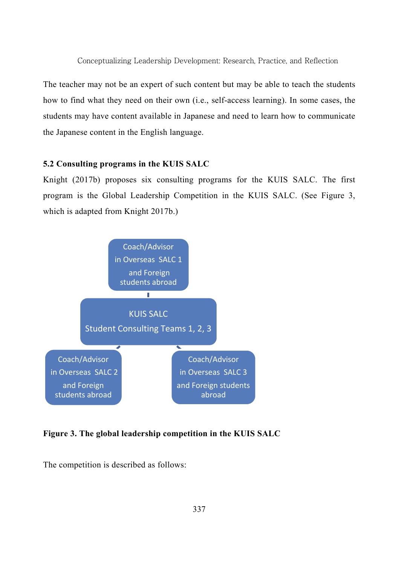The teacher may not be an expert of such content but may be able to teach the students how to find what they need on their own (i.e., self-access learning). In some cases, the students may have content available in Japanese and need to learn how to communicate the Japanese content in the English language.

#### **5.2 Consulting programs in the KUIS SALC**

Knight (2017b) proposes six consulting programs for the KUIS SALC. The first program is the Global Leadership Competition in the KUIS SALC. (See Figure 3, which is adapted from Knight 2017b.)



#### **Figure 3. The global leadership competition in the KUIS SALC**

The competition is described as follows: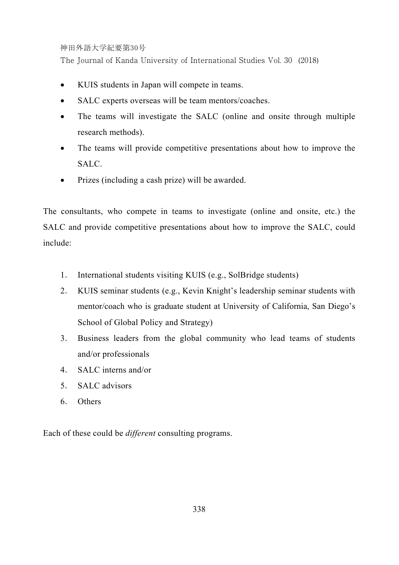The Journal of Kanda University of International Studies Vol. 30 (2018)

- KUIS students in Japan will compete in teams.
- SALC experts overseas will be team mentors/coaches.
- The teams will investigate the SALC (online and onsite through multiple research methods).
- The teams will provide competitive presentations about how to improve the SALC.
- Prizes (including a cash prize) will be awarded.

The consultants, who compete in teams to investigate (online and onsite, etc.) the SALC and provide competitive presentations about how to improve the SALC, could include:

- 1. International students visiting KUIS (e.g., SolBridge students)
- 2. KUIS seminar students (e.g., Kevin Knight's leadership seminar students with mentor/coach who is graduate student at University of California, San Diego's School of Global Policy and Strategy)
- 3. Business leaders from the global community who lead teams of students and/or professionals
- 4. SALC interns and/or
- 5. SALC advisors
- 6. Others

Each of these could be *different* consulting programs.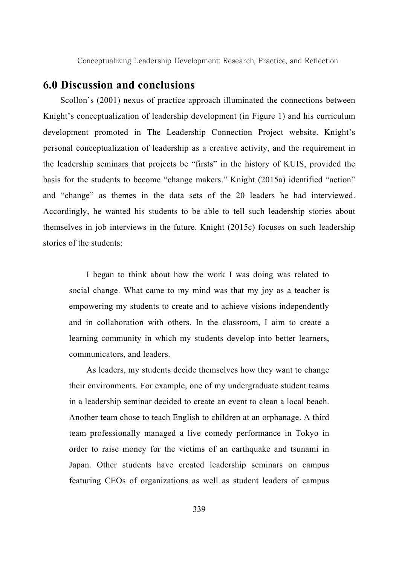### **6.0 Discussion and conclusions**

Scollon's (2001) nexus of practice approach illuminated the connections between Knight's conceptualization of leadership development (in Figure 1) and his curriculum development promoted in The Leadership Connection Project website. Knight's personal conceptualization of leadership as a creative activity, and the requirement in the leadership seminars that projects be "firsts" in the history of KUIS, provided the basis for the students to become "change makers." Knight (2015a) identified "action" and "change" as themes in the data sets of the 20 leaders he had interviewed. Accordingly, he wanted his students to be able to tell such leadership stories about themselves in job interviews in the future. Knight (2015c) focuses on such leadership stories of the students:

I began to think about how the work I was doing was related to social change. What came to my mind was that my joy as a teacher is empowering my students to create and to achieve visions independently and in collaboration with others. In the classroom, I aim to create a learning community in which my students develop into better learners, communicators, and leaders.

As leaders, my students decide themselves how they want to change their environments. For example, one of my undergraduate student teams in a leadership seminar decided to create an event to clean a local beach. Another team chose to teach English to children at an orphanage. A third team professionally managed a live comedy performance in Tokyo in order to raise money for the victims of an earthquake and tsunami in Japan. Other students have created leadership seminars on campus featuring CEOs of organizations as well as student leaders of campus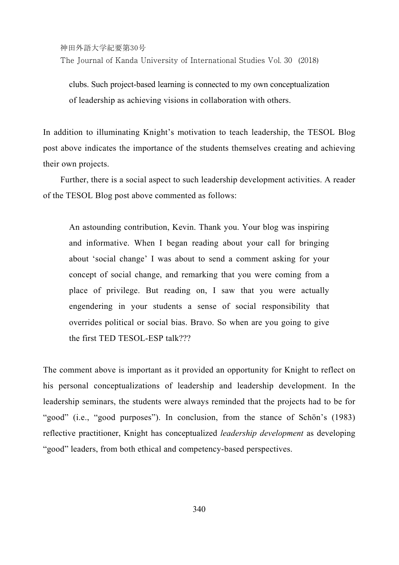The Journal of Kanda University of International Studies Vol. 30 (2018)

clubs. Such project-based learning is connected to my own conceptualization of leadership as achieving visions in collaboration with others.

In addition to illuminating Knight's motivation to teach leadership, the TESOL Blog post above indicates the importance of the students themselves creating and achieving their own projects.

Further, there is a social aspect to such leadership development activities. A reader of the TESOL Blog post above commented as follows:

An astounding contribution, Kevin. Thank you. Your blog was inspiring and informative. When I began reading about your call for bringing about 'social change' I was about to send a comment asking for your concept of social change, and remarking that you were coming from a place of privilege. But reading on, I saw that you were actually engendering in your students a sense of social responsibility that overrides political or social bias. Bravo. So when are you going to give the first TED TESOL-ESP talk???

The comment above is important as it provided an opportunity for Knight to reflect on his personal conceptualizations of leadership and leadership development. In the leadership seminars, the students were always reminded that the projects had to be for "good" (i.e., "good purposes"). In conclusion, from the stance of Schön's (1983) reflective practitioner, Knight has conceptualized *leadership development* as developing "good" leaders, from both ethical and competency-based perspectives.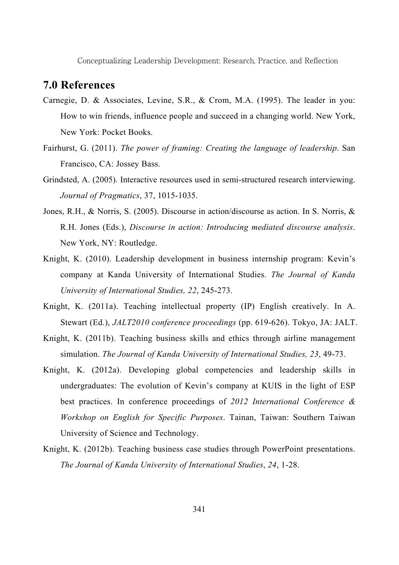### **7.0 References**

- Carnegie, D. & Associates, Levine, S.R., & Crom, M.A. (1995). The leader in you: How to win friends, influence people and succeed in a changing world. New York, New York: Pocket Books.
- Fairhurst, G. (2011). *The power of framing: Creating the language of leadership*. San Francisco, CA: Jossey Bass.
- Grindsted, A. (2005). Interactive resources used in semi-structured research interviewing. *Journal of Pragmatics*, 37, 1015-1035.
- Jones, R.H., & Norris, S. (2005). Discourse in action/discourse as action. In S. Norris, & R.H. Jones (Eds.), *Discourse in action: Introducing mediated discourse analysis*. New York, NY: Routledge.
- Knight, K. (2010). Leadership development in business internship program: Kevin's company at Kanda University of International Studies. *The Journal of Kanda University of International Studies, 22*, 245-273.
- Knight, K. (2011a). Teaching intellectual property (IP) English creatively. In A. Stewart (Ed.), *JALT2010 conference proceedings* (pp. 619-626). Tokyo, JA: JALT.
- Knight, K. (2011b). Teaching business skills and ethics through airline management simulation. *The Journal of Kanda University of International Studies, 23*, 49-73.
- Knight, K. (2012a). Developing global competencies and leadership skills in undergraduates: The evolution of Kevin's company at KUIS in the light of ESP best practices. In conference proceedings of *2012 International Conference & Workshop on English for Specific Purposes*. Tainan, Taiwan: Southern Taiwan University of Science and Technology.
- Knight, K. (2012b). Teaching business case studies through PowerPoint presentations. *The Journal of Kanda University of International Studies*, *24*, 1-28.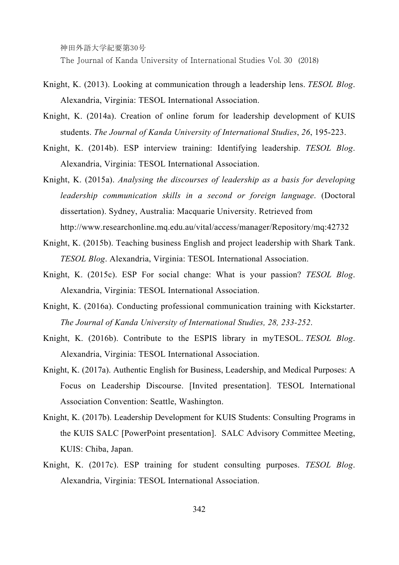The Journal of Kanda University of International Studies Vol. 30 (2018)

- Knight, K. (2013). Looking at communication through a leadership lens. *TESOL Blog*. Alexandria, Virginia: TESOL International Association.
- Knight, K. (2014a). Creation of online forum for leadership development of KUIS students. *The Journal of Kanda University of International Studies*, *26*, 195-223.
- Knight, K. (2014b). ESP interview training: Identifying leadership. *TESOL Blog*. Alexandria, Virginia: TESOL International Association.
- Knight, K. (2015a). *Analysing the discourses of leadership as a basis for developing leadership communication skills in a second or foreign language*. (Doctoral dissertation). Sydney, Australia: Macquarie University. Retrieved from http://www.researchonline.mq.edu.au/vital/access/manager/Repository/mq:42732
- Knight, K. (2015b). Teaching business English and project leadership with Shark Tank. *TESOL Blog*. Alexandria, Virginia: TESOL International Association.
- Knight, K. (2015c). ESP For social change: What is your passion? *TESOL Blog*. Alexandria, Virginia: TESOL International Association.
- Knight, K. (2016a). Conducting professional communication training with Kickstarter. *The Journal of Kanda University of International Studies, 28, 233-252*.
- Knight, K. (2016b). Contribute to the ESPIS library in myTESOL. *TESOL Blog*. Alexandria, Virginia: TESOL International Association.
- Knight, K. (2017a). Authentic English for Business, Leadership, and Medical Purposes: A Focus on Leadership Discourse. [Invited presentation]. TESOL International Association Convention: Seattle, Washington.
- Knight, K. (2017b). Leadership Development for KUIS Students: Consulting Programs in the KUIS SALC [PowerPoint presentation]. SALC Advisory Committee Meeting, KUIS: Chiba, Japan.
- Knight, K. (2017c). ESP training for student consulting purposes. *TESOL Blog*. Alexandria, Virginia: TESOL International Association.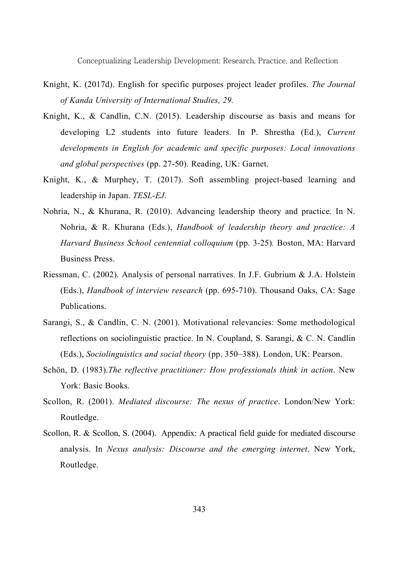- Knight, K. (2017d). English for specific purposes project leader profiles. *The Journal of Kanda University of International Studies, 29.*
- Knight, K., & Candlin, C.N. (2015). Leadership discourse as basis and means for developing L2 students into future leaders. In P. Shrestha (Ed.), *Current developments in English for academic and specific purposes: Local innovations and global perspectives* (pp. 27-50). Reading, UK: Garnet.
- Knight, K., & Murphey, T. (2017). Soft assembling project-based learning and leadership in Japan. *TESL-EJ*.
- Nohria, N., & Khurana, R. (2010). Advancing leadership theory and practice. In N. Nohria, & R. Khurana (Eds.), *Handbook of leadership theory and practice: A Harvard Business School centennial colloquium* (pp. 3-25)*.* Boston, MA: Harvard Business Press.
- Riessman, C. (2002). Analysis of personal narratives. In J.F. Gubrium & J.A. Holstein (Eds.), *Handbook of interview research* (pp. 695-710). Thousand Oaks, CA: Sage Publications.
- Sarangi, S., & Candlin, C. N. (2001). Motivational relevancies: Some methodological reflections on sociolinguistic practice. In N. Coupland, S. Sarangi, & C. N. Candlin (Eds.), *Sociolinguistics and social theory* (pp. 350–388). London, UK: Pearson.
- Schön, D. (1983).*The reflective practitioner: How professionals think in action*. New York: Basic Books.
- Scollon, R. (2001). *Mediated discourse: The nexus of practice*. London/New York: Routledge.
- Scollon, R. & Scollon, S. (2004). Appendix: A practical field guide for mediated discourse analysis. In *Nexus analysis: Discourse and the emerging internet*. New York, Routledge.